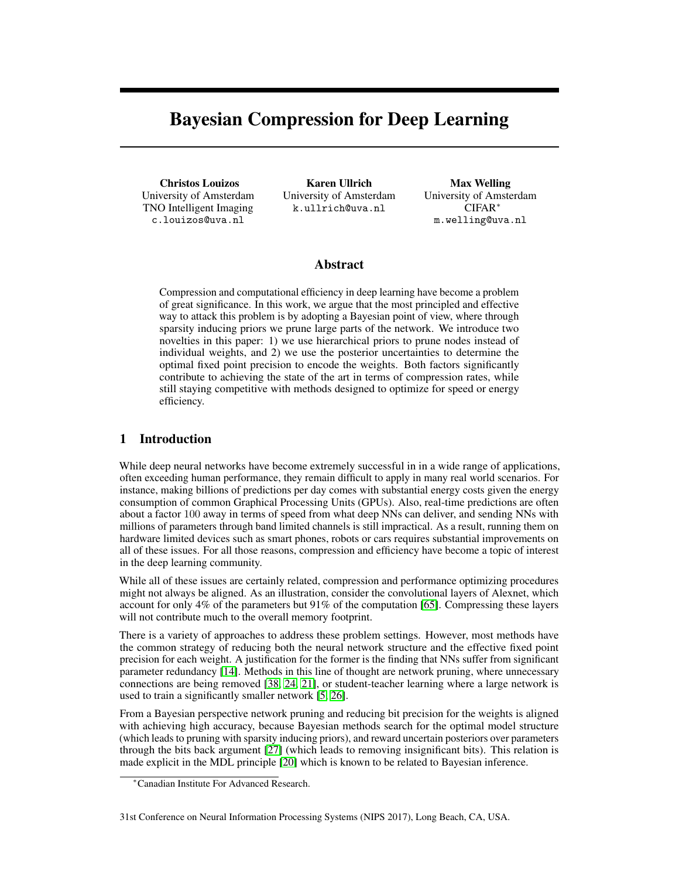# Bayesian Compression for Deep Learning

Christos Louizos University of Amsterdam TNO Intelligent Imaging c.louizos@uva.nl

Karen Ullrich University of Amsterdam k.ullrich@uva.nl

Max Welling University of Amsterdam CIFAR<sup>∗</sup> m.welling@uva.nl

# Abstract

Compression and computational efficiency in deep learning have become a problem of great significance. In this work, we argue that the most principled and effective way to attack this problem is by adopting a Bayesian point of view, where through sparsity inducing priors we prune large parts of the network. We introduce two novelties in this paper: 1) we use hierarchical priors to prune nodes instead of individual weights, and 2) we use the posterior uncertainties to determine the optimal fixed point precision to encode the weights. Both factors significantly contribute to achieving the state of the art in terms of compression rates, while still staying competitive with methods designed to optimize for speed or energy efficiency.

# 1 Introduction

While deep neural networks have become extremely successful in in a wide range of applications, often exceeding human performance, they remain difficult to apply in many real world scenarios. For instance, making billions of predictions per day comes with substantial energy costs given the energy consumption of common Graphical Processing Units (GPUs). Also, real-time predictions are often about a factor 100 away in terms of speed from what deep NNs can deliver, and sending NNs with millions of parameters through band limited channels is still impractical. As a result, running them on hardware limited devices such as smart phones, robots or cars requires substantial improvements on all of these issues. For all those reasons, compression and efficiency have become a topic of interest in the deep learning community.

While all of these issues are certainly related, compression and performance optimizing procedures might not always be aligned. As an illustration, consider the convolutional layers of Alexnet, which account for only 4% of the parameters but 91% of the computation [65]. Compressing these layers will not contribute much to the overall memory footprint.

There is a variety of approaches to address these problem settings. However, most methods have the common strategy of reducing both the neural network structure and the effective fixed point precision for each weight. A justification for the former is the finding that NNs suffer from significant parameter redundancy [14]. Methods in this line of thought are network pruning, where unnecessary connections are being removed [38, 24, 21], or student-teacher learning where a large network is used to train a significantly smaller network [5, 26].

From a Bayesian perspective network pruning and reducing bit precision for the weights is aligned with achieving high accuracy, because Bayesian methods search for the optimal model structure (which leads to pruning with sparsity inducing priors), and reward uncertain posteriors over parameters through the bits back argument [27] (which leads to removing insignificant bits). This relation is made explicit in the MDL principle [20] which is known to be related to Bayesian inference.

<sup>∗</sup>Canadian Institute For Advanced Research.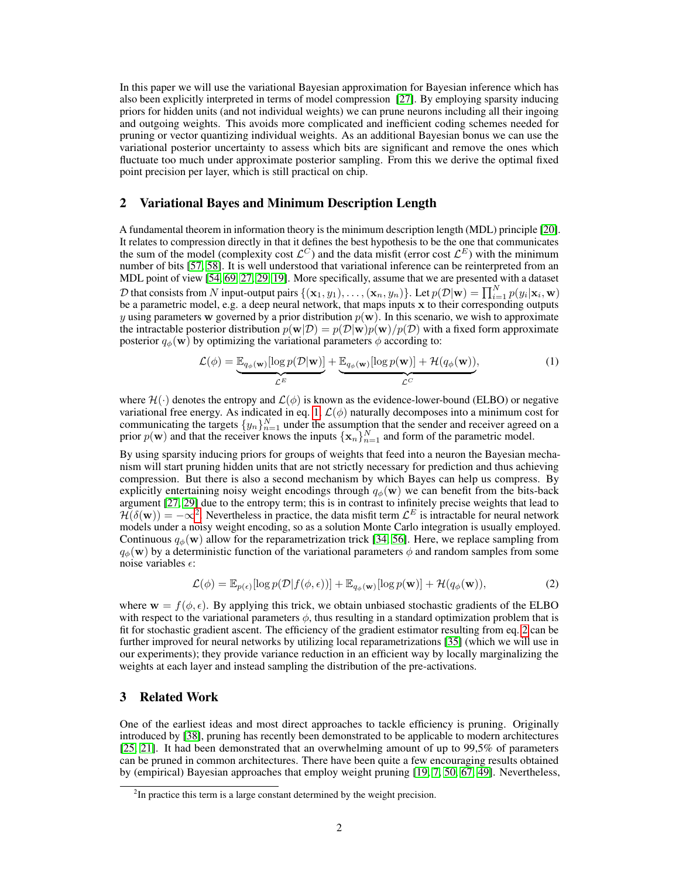In this paper we will use the variational Bayesian approximation for Bayesian inference which has also been explicitly interpreted in terms of model compression [27]. By employing sparsity inducing priors for hidden units (and not individual weights) we can prune neurons including all their ingoing and outgoing weights. This avoids more complicated and inefficient coding schemes needed for pruning or vector quantizing individual weights. As an additional Bayesian bonus we can use the variational posterior uncertainty to assess which bits are significant and remove the ones which fluctuate too much under approximate posterior sampling. From this we derive the optimal fixed point precision per layer, which is still practical on chip.

# 2 Variational Bayes and Minimum Description Length

A fundamental theorem in information theory is the minimum description length (MDL) principle [20]. It relates to compression directly in that it defines the best hypothesis to be the one that communicates the sum of the model (complexity cost  $\mathcal{L}^C$ ) and the data misfit (error cost  $\mathcal{L}^E$ ) with the minimum number of bits [57, 58]. It is well understood that variational inference can be reinterpreted from an MDL point of view [54, 69, 27, 29, 19]. More specifically, assume that we are presented with a dataset  $\mathcal D$  that consists from  $N$  input-output pairs  $\{(\mathbf x_1,y_1),\ldots,(\mathbf x_n,y_n)\}$ . Let  $p(\mathcal D|\mathbf w)=\prod_{i=1}^Np(y_i|\mathbf x_i,\mathbf w)$ be a parametric model, e.g. a deep neural network, that maps inputs x to their corresponding outputs y using parameters w governed by a prior distribution  $p(\mathbf{w})$ . In this scenario, we wish to approximate the intractable posterior distribution  $p(\mathbf{w}|\mathcal{D}) = p(\mathcal{D}|\mathbf{w})p(\mathbf{w})/p(\mathcal{D})$  with a fixed form approximate posterior  $q_{\phi}(\mathbf{w})$  by optimizing the variational parameters  $\phi$  according to:

$$
\mathcal{L}(\phi) = \underbrace{\mathbb{E}_{q_{\phi}(\mathbf{w})}[\log p(\mathcal{D}|\mathbf{w})]}_{\mathcal{L}^E} + \underbrace{\mathbb{E}_{q_{\phi}(\mathbf{w})}[\log p(\mathbf{w})] + \mathcal{H}(q_{\phi}(\mathbf{w}))}_{\mathcal{L}^C},
$$
(1)

where  $\mathcal{H}(\cdot)$  denotes the entropy and  $\mathcal{L}(\phi)$  is known as the evidence-lower-bound (ELBO) or negative variational free energy. As indicated in eq. 1,  $\mathcal{L}(\phi)$  naturally decomposes into a minimum cost for communicating the targets  $\{y_n\}_{n=1}^N$  under the assumption that the sender and receiver agreed on a prior  $p(\mathbf{w})$  and that the receiver knows the inputs  $\{\mathbf{x}_n\}_{n=1}^N$  and form of the parametric model.

By using sparsity inducing priors for groups of weights that feed into a neuron the Bayesian mechanism will start pruning hidden units that are not strictly necessary for prediction and thus achieving compression. But there is also a second mechanism by which Bayes can help us compress. By explicitly entertaining noisy weight encodings through  $q_{\phi}(\mathbf{w})$  we can benefit from the bits-back argument [27, 29] due to the entropy term; this is in contrast to infinitely precise weights that lead to  $\mathcal{H}(\delta(\mathbf{w})) = -\infty^2$ . Nevertheless in practice, the data misfit term  $\mathcal{L}^E$  is intractable for neural network models under a noisy weight encoding, so as a solution Monte Carlo integration is usually employed. Continuous  $q_{\phi}(\mathbf{w})$  allow for the reparametrization trick [34, 56]. Here, we replace sampling from  $q_{\phi}(\mathbf{w})$  by a deterministic function of the variational parameters  $\phi$  and random samples from some noise variables  $\epsilon$ :

$$
\mathcal{L}(\phi) = \mathbb{E}_{p(\epsilon)}[\log p(\mathcal{D}|f(\phi,\epsilon))] + \mathbb{E}_{q_{\phi}(\mathbf{w})}[\log p(\mathbf{w})] + \mathcal{H}(q_{\phi}(\mathbf{w})),
$$
\n(2)

where  $\mathbf{w} = f(\phi, \epsilon)$ . By applying this trick, we obtain unbiased stochastic gradients of the ELBO with respect to the variational parameters  $\phi$ , thus resulting in a standard optimization problem that is fit for stochastic gradient ascent. The efficiency of the gradient estimator resulting from eq. 2 can be further improved for neural networks by utilizing local reparametrizations [35] (which we will use in our experiments); they provide variance reduction in an efficient way by locally marginalizing the weights at each layer and instead sampling the distribution of the pre-activations.

# 3 Related Work

One of the earliest ideas and most direct approaches to tackle efficiency is pruning. Originally introduced by [38], pruning has recently been demonstrated to be applicable to modern architectures [25, 21]. It had been demonstrated that an overwhelming amount of up to 99,5% of parameters can be pruned in common architectures. There have been quite a few encouraging results obtained by (empirical) Bayesian approaches that employ weight pruning [19, 7, 50, 67, 49]. Nevertheless,

 $2$ In practice this term is a large constant determined by the weight precision.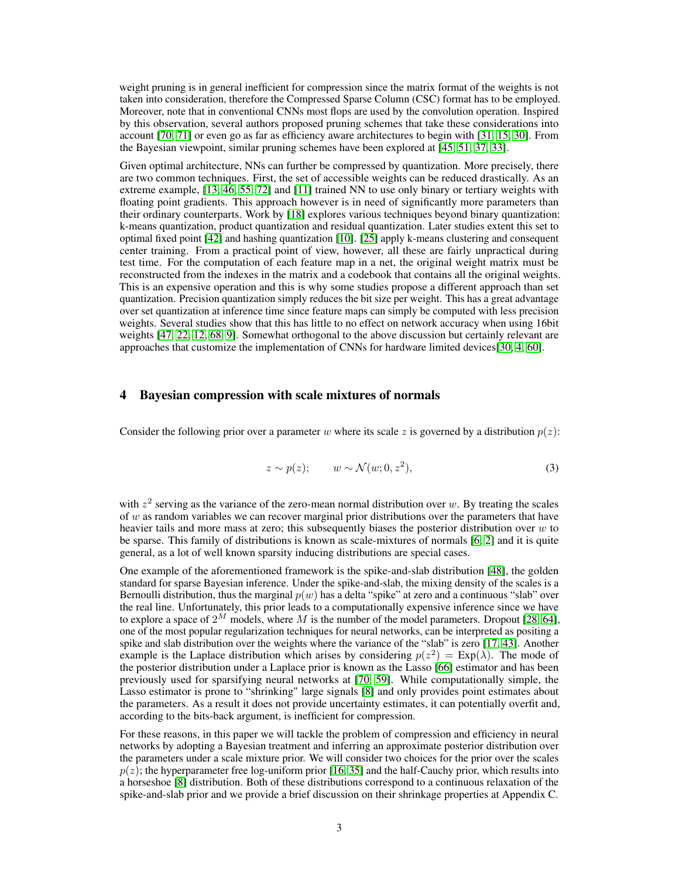weight pruning is in general inefficient for compression since the matrix format of the weights is not taken into consideration, therefore the Compressed Sparse Column (CSC) format has to be employed. Moreover, note that in conventional CNNs most flops are used by the convolution operation. Inspired by this observation, several authors proposed pruning schemes that take these considerations into account [70, 71] or even go as far as efficiency aware architectures to begin with [31, 15, 30]. From the Bayesian viewpoint, similar pruning schemes have been explored at [45, 51, 37, 33].

Given optimal architecture, NNs can further be compressed by quantization. More precisely, there are two common techniques. First, the set of accessible weights can be reduced drastically. As an extreme example, [13, 46, 55, 72] and [11] trained NN to use only binary or tertiary weights with floating point gradients. This approach however is in need of significantly more parameters than their ordinary counterparts. Work by [18] explores various techniques beyond binary quantization: k-means quantization, product quantization and residual quantization. Later studies extent this set to optimal fixed point [42] and hashing quantization [10]. [25] apply k-means clustering and consequent center training. From a practical point of view, however, all these are fairly unpractical during test time. For the computation of each feature map in a net, the original weight matrix must be reconstructed from the indexes in the matrix and a codebook that contains all the original weights. This is an expensive operation and this is why some studies propose a different approach than set quantization. Precision quantization simply reduces the bit size per weight. This has a great advantage over set quantization at inference time since feature maps can simply be computed with less precision weights. Several studies show that this has little to no effect on network accuracy when using 16bit weights [47, 22, 12, 68, 9]. Somewhat orthogonal to the above discussion but certainly relevant are approaches that customize the implementation of CNNs for hardware limited devices[30, 4, 60].

## 4 Bayesian compression with scale mixtures of normals

Consider the following prior over a parameter w where its scale z is governed by a distribution  $p(z)$ :

$$
z \sim p(z); \qquad w \sim \mathcal{N}(w; 0, z^2), \tag{3}
$$

with  $z^2$  serving as the variance of the zero-mean normal distribution over w. By treating the scales of  $w$  as random variables we can recover marginal prior distributions over the parameters that have heavier tails and more mass at zero; this subsequently biases the posterior distribution over  $w$  to be sparse. This family of distributions is known as scale-mixtures of normals [6, 2] and it is quite general, as a lot of well known sparsity inducing distributions are special cases.

One example of the aforementioned framework is the spike-and-slab distribution [48], the golden standard for sparse Bayesian inference. Under the spike-and-slab, the mixing density of the scales is a Bernoulli distribution, thus the marginal  $p(w)$  has a delta "spike" at zero and a continuous "slab" over the real line. Unfortunately, this prior leads to a computationally expensive inference since we have to explore a space of  $2^M$  models, where M is the number of the model parameters. Dropout [28, 64], one of the most popular regularization techniques for neural networks, can be interpreted as positing a spike and slab distribution over the weights where the variance of the "slab" is zero [17, 43]. Another example is the Laplace distribution which arises by considering  $p(z^2) = \text{Exp}(\lambda)$ . The mode of the posterior distribution under a Laplace prior is known as the Lasso [66] estimator and has been previously used for sparsifying neural networks at [70, 59]. While computationally simple, the Lasso estimator is prone to "shrinking" large signals [8] and only provides point estimates about the parameters. As a result it does not provide uncertainty estimates, it can potentially overfit and, according to the bits-back argument, is inefficient for compression.

For these reasons, in this paper we will tackle the problem of compression and efficiency in neural networks by adopting a Bayesian treatment and inferring an approximate posterior distribution over the parameters under a scale mixture prior. We will consider two choices for the prior over the scales  $p(z)$ ; the hyperparameter free log-uniform prior [16, 35] and the half-Cauchy prior, which results into a horseshoe [8] distribution. Both of these distributions correspond to a continuous relaxation of the spike-and-slab prior and we provide a brief discussion on their shrinkage properties at Appendix C.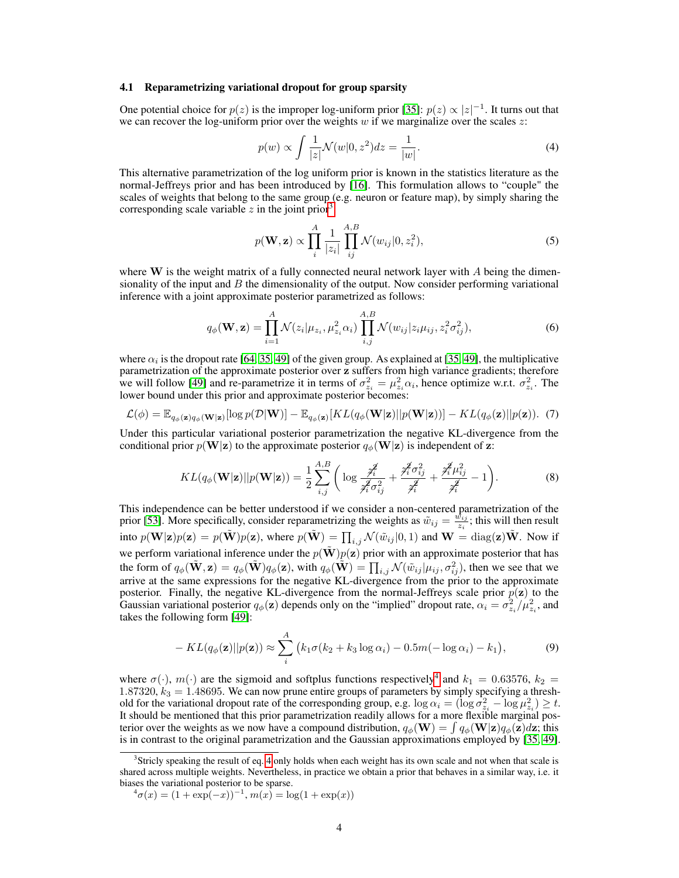#### 4.1 Reparametrizing variational dropout for group sparsity

One potential choice for  $p(z)$  is the improper log-uniform prior [35]:  $p(z) \propto |z|^{-1}$ . It turns out that we can recover the log-uniform prior over the weights  $w$  if we marginalize over the scales  $z$ :

$$
p(w) \propto \int \frac{1}{|z|} \mathcal{N}(w|0, z^2) dz = \frac{1}{|w|}.
$$
 (4)

This alternative parametrization of the log uniform prior is known in the statistics literature as the normal-Jeffreys prior and has been introduced by [16]. This formulation allows to "couple" the scales of weights that belong to the same group (e.g. neuron or feature map), by simply sharing the corresponding scale variable  $z$  in the joint prior<sup>3</sup>:

$$
p(\mathbf{W}, \mathbf{z}) \propto \prod_{i}^{A} \frac{1}{|z_i|} \prod_{ij}^{A, B} \mathcal{N}(w_{ij}|0, z_i^2),
$$
\n(5)

where  $W$  is the weight matrix of a fully connected neural network layer with A being the dimensionality of the input and  $B$  the dimensionality of the output. Now consider performing variational inference with a joint approximate posterior parametrized as follows:

$$
q_{\phi}(\mathbf{W}, \mathbf{z}) = \prod_{i=1}^{A} \mathcal{N}(z_i | \mu_{z_i}, \mu_{z_i}^2 \alpha_i) \prod_{i,j}^{A,B} \mathcal{N}(w_{ij} | z_i \mu_{ij}, z_i^2 \sigma_{ij}^2),
$$
(6)

where  $\alpha_i$  is the dropout rate [64, 35, 49] of the given group. As explained at [35, 49], the multiplicative parametrization of the approximate posterior over z suffers from high variance gradients; therefore we will follow [49] and re-parametrize it in terms of  $\sigma_{z_i}^2 = \mu_{z_i}^2 \alpha_i$ , hence optimize w.r.t.  $\sigma_{z_i}^2$ . The lower bound under this prior and approximate posterior becomes:

$$
\mathcal{L}(\phi) = \mathbb{E}_{q_{\phi}(\mathbf{z})q_{\phi}(\mathbf{W}|\mathbf{z})}[\log p(\mathcal{D}|\mathbf{W})] - \mathbb{E}_{q_{\phi}(\mathbf{z})}[KL(q_{\phi}(\mathbf{W}|\mathbf{z})||p(\mathbf{W}|\mathbf{z}))] - KL(q_{\phi}(\mathbf{z})||p(\mathbf{z})).
$$
 (7)

Under this particular variational posterior parametrization the negative KL-divergence from the conditional prior  $p(\mathbf{W}|\mathbf{z})$  to the approximate posterior  $q_{\phi}(\mathbf{W}|\mathbf{z})$  is independent of z:

$$
KL(q_{\phi}(\mathbf{W}|\mathbf{z})||p(\mathbf{W}|\mathbf{z})) = \frac{1}{2} \sum_{i,j}^{A,B} \left( \log \frac{\hat{\mathcal{J}}_i^2}{\hat{\mathcal{J}}_i^2 \sigma_{ij}^2} + \frac{\hat{\mathcal{J}}_i^2 \sigma_{ij}^2}{\hat{\mathcal{J}}_i^2} + \frac{\hat{\mathcal{J}}_i^2 \mu_{ij}^2}{\hat{\mathcal{J}}_i^2} - 1 \right).
$$
 (8)

This independence can be better understood if we consider a non-centered parametrization of the prior [53]. More specifically, consider reparametrizing the weights as  $\tilde{w}_{ij} = \frac{\tilde{w}_{ij}}{z_i}$  $\frac{v_{ij}}{z_i}$ ; this will then result into  $p(\mathbf{W}|\mathbf{z})p(\mathbf{z}) = p(\tilde{\mathbf{W}})p(\mathbf{z})$ , where  $p(\tilde{\mathbf{W}}) = \prod_{i,j} \mathcal{N}(\tilde{w}_{ij}|0,1)$  and  $\mathbf{W} = \text{diag}(\mathbf{z})\tilde{\mathbf{W}}$ . Now if we perform variational inference under the  $p(\mathbf{W})p(\mathbf{z})$  prior with an approximate posterior that has the form of  $q_{\phi}(\tilde{\mathbf{W}}, \mathbf{z}) = q_{\phi}(\tilde{\mathbf{W}})q_{\phi}(\mathbf{z})$ , with  $q_{\phi}(\tilde{\mathbf{W}}) = \prod_{i,j} \mathcal{N}(\tilde{w}_{ij} | \mu_{ij}, \sigma_{ij}^2)$ , then we see that we arrive at the same expressions for the negative KL-divergence from the prior to the approximate posterior. Finally, the negative KL-divergence from the normal-Jeffreys scale prior  $p(z)$  to the Gaussian variational posterior  $q_{\phi}(\mathbf{z})$  depends only on the "implied" dropout rate,  $\alpha_i = \sigma_{z_i}^2 / \mu_{z_i}^2$ , and takes the following form [49]:

$$
- KL(q_{\phi}(\mathbf{z})||p(\mathbf{z})) \approx \sum_{i}^{A} (k_1 \sigma(k_2 + k_3 \log \alpha_i) - 0.5m(-\log \alpha_i) - k_1), \tag{9}
$$

where  $\sigma(\cdot)$ ,  $m(\cdot)$  are the sigmoid and softplus functions respectively<sup>4</sup> and  $k_1 = 0.63576$ ,  $k_2 =$ 1.87320,  $k_3 = 1.48695$ . We can now prune entire groups of parameters by simply specifying a threshold for the variational dropout rate of the corresponding group, e.g.  $\log \alpha_i = (\log \sigma_{z_i}^2 - \log \mu_{z_i}^2) \geq t$ . It should be mentioned that this prior parametrization readily allows for a more flexible marginal posterior over the weights as we now have a compound distribution,  $q_{\phi}(\mathbf{W}) = \int q_{\phi}(\mathbf{W}|\mathbf{z})q_{\phi}(\mathbf{z})d\mathbf{z}$ ; this is in contrast to the original parametrization and the Gaussian approximations employed by [35, 49].

<sup>&</sup>lt;sup>3</sup>Stricly speaking the result of eq. 4 only holds when each weight has its own scale and not when that scale is shared across multiple weights. Nevertheless, in practice we obtain a prior that behaves in a similar way, i.e. it biases the variational posterior to be sparse.

 ${}^4\sigma(x) = (1 + \exp(-x))^{-1}, m(x) = \log(1 + \exp(x))$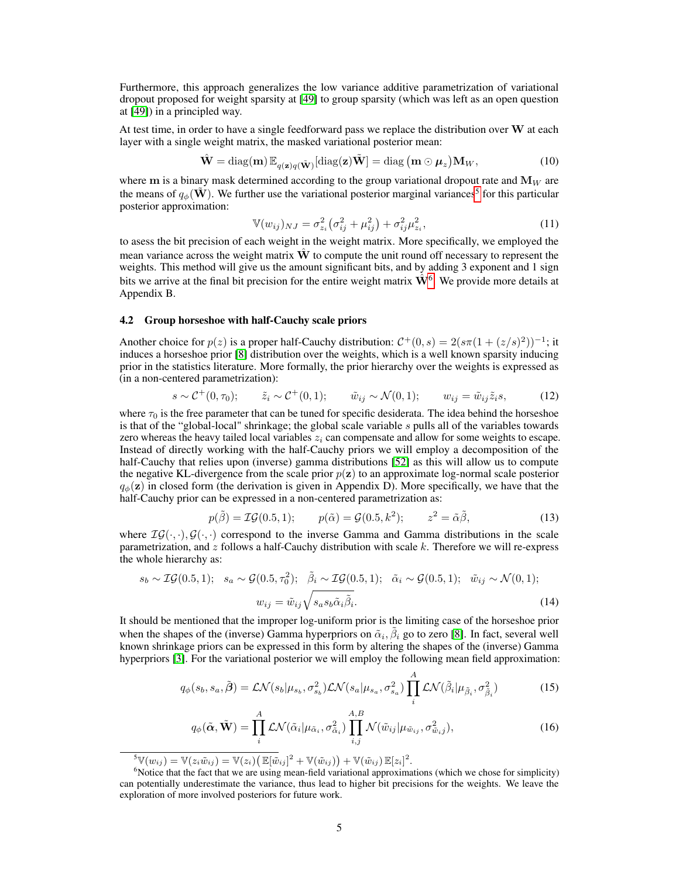Furthermore, this approach generalizes the low variance additive parametrization of variational dropout proposed for weight sparsity at [49] to group sparsity (which was left as an open question at [49]) in a principled way.

At test time, in order to have a single feedforward pass we replace the distribution over  $W$  at each layer with a single weight matrix, the masked variational posterior mean:

$$
\hat{\mathbf{W}} = \text{diag}(\mathbf{m}) \, \mathbb{E}_{q(\mathbf{z})q(\tilde{\mathbf{W}})}[\text{diag}(\mathbf{z})\tilde{\mathbf{W}}] = \text{diag}(\mathbf{m} \odot \boldsymbol{\mu}_z) \mathbf{M}_W, \tag{10}
$$

where m is a binary mask determined according to the group variational dropout rate and  $M_W$  are the means of  $q_{\phi}(\tilde{\mathbf{W}})$ . We further use the variational posterior marginal variances<sup>5</sup> for this particular posterior approximation:

$$
\mathbb{V}(w_{ij})_{NJ} = \sigma_{z_i}^2 \left( \sigma_{ij}^2 + \mu_{ij}^2 \right) + \sigma_{ij}^2 \mu_{z_i}^2, \tag{11}
$$

to asess the bit precision of each weight in the weight matrix. More specifically, we employed the mean variance across the weight matrix  $\hat{W}$  to compute the unit round off necessary to represent the weights. This method will give us the amount significant bits, and by adding 3 exponent and 1 sign bits we arrive at the final bit precision for the entire weight matrix  $\hat{W}^6$ . We provide more details at Appendix B.

### 4.2 Group horseshoe with half-Cauchy scale priors

Another choice for  $p(z)$  is a proper half-Cauchy distribution:  $C^+(0,s) = 2(s\pi(1 + (z/s)^2))^{-1}$ ; it induces a horseshoe prior [8] distribution over the weights, which is a well known sparsity inducing prior in the statistics literature. More formally, the prior hierarchy over the weights is expressed as (in a non-centered parametrization):

$$
s \sim \mathcal{C}^+(0, \tau_0); \qquad \tilde{z}_i \sim \mathcal{C}^+(0, 1); \qquad \tilde{w}_{ij} \sim \mathcal{N}(0, 1); \qquad w_{ij} = \tilde{w}_{ij}\tilde{z}_i s,\tag{12}
$$

where  $\tau_0$  is the free parameter that can be tuned for specific desiderata. The idea behind the horseshoe is that of the "global-local" shrinkage; the global scale variable s pulls all of the variables towards zero whereas the heavy tailed local variables  $z_i$  can compensate and allow for some weights to escape. Instead of directly working with the half-Cauchy priors we will employ a decomposition of the half-Cauchy that relies upon (inverse) gamma distributions [52] as this will allow us to compute the negative KL-divergence from the scale prior  $p(z)$  to an approximate log-normal scale posterior  $q_{\phi}(\mathbf{z})$  in closed form (the derivation is given in Appendix D). More specifically, we have that the half-Cauchy prior can be expressed in a non-centered parametrization as:

$$
p(\tilde{\beta}) = \mathcal{IG}(0.5, 1); \qquad p(\tilde{\alpha}) = \mathcal{G}(0.5, k^2); \qquad z^2 = \tilde{\alpha}\tilde{\beta}, \tag{13}
$$

where  $IG(\cdot, \cdot), G(\cdot, \cdot)$  correspond to the inverse Gamma and Gamma distributions in the scale parametrization, and  $z$  follows a half-Cauchy distribution with scale  $k$ . Therefore we will re-express the whole hierarchy as:

$$
s_b \sim \mathcal{IG}(0.5, 1); \quad s_a \sim \mathcal{G}(0.5, \tau_0^2); \quad \tilde{\beta}_i \sim \mathcal{IG}(0.5, 1); \quad \tilde{\alpha}_i \sim \mathcal{G}(0.5, 1); \quad \tilde{w}_{ij} \sim \mathcal{N}(0, 1);
$$

$$
w_{ij} = \tilde{w}_{ij} \sqrt{s_a s_b \tilde{\alpha}_i \tilde{\beta}_i}.
$$
(14)

It should be mentioned that the improper log-uniform prior is the limiting case of the horseshoe prior when the shapes of the (inverse) Gamma hyperpriors on  $\tilde{\alpha}_i$ ,  $\tilde{\beta}_i$  go to zero [8]. In fact, several well known shrinkage priors can be expressed in this form by altering the shapes of the (inverse) Gamma hyperpriors [3]. For the variational posterior we will employ the following mean field approximation:

$$
q_{\phi}(s_b, s_a, \tilde{\boldsymbol{\beta}}) = \mathcal{LN}(s_b | \mu_{s_b}, \sigma_{s_b}^2) \mathcal{LN}(s_a | \mu_{s_a}, \sigma_{s_a}^2) \prod_i^A \mathcal{LN}(\tilde{\beta}_i | \mu_{\tilde{\beta}_i}, \sigma_{\tilde{\beta}_i}^2)
$$
(15)

$$
q_{\phi}(\tilde{\boldsymbol{\alpha}}, \tilde{\mathbf{W}}) = \prod_{i}^{A} \mathcal{LN}(\tilde{\alpha}_{i} | \mu_{\tilde{\alpha}_{i}}, \sigma_{\tilde{\alpha}_{i}}^{2}) \prod_{i,j}^{A,B} \mathcal{N}(\tilde{w}_{ij} | \mu_{\tilde{w}_{ij}}, \sigma_{\tilde{w}_{i}j}^{2}),
$$
(16)

 $\mathbb{S}\mathbb{V}(w_{ij})=\mathbb{V}(z_i\tilde{w}_{ij})=\mathbb{V}(z_i)\big(\mathbb{E}[\tilde{w}_{ij}]^2+\mathbb{V}(\tilde{w}_{ij})\big)+\mathbb{V}(\tilde{w}_{ij})\mathbb{E}[z_i]^2.$ 

<sup>&</sup>lt;sup>6</sup>Notice that the fact that we are using mean-field variational approximations (which we chose for simplicity) can potentially underestimate the variance, thus lead to higher bit precisions for the weights. We leave the exploration of more involved posteriors for future work.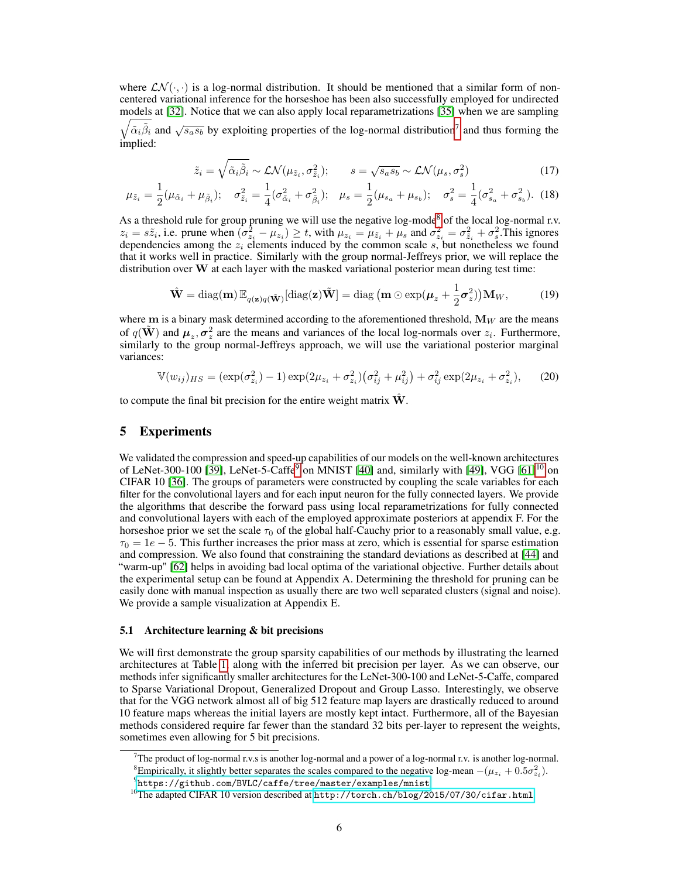where  $LN(\cdot, \cdot)$  is a log-normal distribution. It should be mentioned that a similar form of noncentered variational inference for the horseshoe has been also successfully employed for undirected models at [ 32]. Notice that we can also apply local reparametrizations [35] when we are sampling  $\sqrt{\tilde{\alpha}_i \tilde{\beta}_i}$  and  $\sqrt{s_a s_b}$  by exploiting properties of the log-normal distribution<sup>7</sup> and thus forming the

implied:

$$
\tilde{z}_i = \sqrt{\tilde{\alpha}_i \tilde{\beta}_i} \sim \mathcal{LN}(\mu_{\tilde{z}_i}, \sigma_{\tilde{z}_i}^2); \qquad s = \sqrt{s_a s_b} \sim \mathcal{LN}(\mu_s, \sigma_s^2)
$$
\n(17)

$$
\mu_{\tilde{z}_i} = \frac{1}{2}(\mu_{\tilde{\alpha}_i} + \mu_{\tilde{\beta}_i}); \quad \sigma_{\tilde{z}_i}^2 = \frac{1}{4}(\sigma_{\tilde{\alpha}_i}^2 + \sigma_{\tilde{\beta}_i}^2); \quad \mu_s = \frac{1}{2}(\mu_{s_a} + \mu_{s_b}); \quad \sigma_s^2 = \frac{1}{4}(\sigma_{s_a}^2 + \sigma_{s_b}^2).
$$
 (18)

As a threshold rule for group pruning we will use the negative log-mode<sup>8</sup> of the local log-normal r.v.  $z_i = s\tilde{z}_i$ , i.e. prune when  $(\sigma_{z_i}^2 - \mu_{z_i}) \ge t$ , with  $\mu_{z_i} = \mu_{\tilde{z}_i} + \mu_s$  and  $\sigma_{z_i}^2 = \sigma_{\tilde{z}_i}^2 + \sigma_s^2$ . This ignores dependencies among the  $z_i$  elements induced by the common scale  $s$ , but nonetheless we found that it works well in practice. Similarly with the group normal-Jeffreys prior, we will replace the distribution over  $W$  at each layer with the masked variational posterior mean during test time:

$$
\hat{\mathbf{W}} = \text{diag}(\mathbf{m}) \mathbb{E}_{q(\mathbf{z})q(\tilde{\mathbf{W}})}[\text{diag}(\mathbf{z})\tilde{\mathbf{W}}] = \text{diag}\left(\mathbf{m} \odot \exp(\boldsymbol{\mu}_z + \frac{1}{2}\boldsymbol{\sigma}_z^2)\right) \mathbf{M}_W, \tag{19}
$$

where  $m$  is a binary mask determined according to the aforementioned threshold,  $M_W$  are the means of  $q(\tilde{\mathbf{W}})$  and  $\boldsymbol{\mu}_z, \boldsymbol{\sigma}_z^2$  are the means and variances of the local log-normals over  $z_i$ . Furthermore, similarly to the group normal-Jeffreys approach, we will use the variational posterior marginal variances:

$$
\mathbb{V}(w_{ij})_{HS} = (\exp(\sigma_{z_i}^2) - 1) \exp(2\mu_{z_i} + \sigma_{z_i}^2) (\sigma_{ij}^2 + \mu_{ij}^2) + \sigma_{ij}^2 \exp(2\mu_{z_i} + \sigma_{z_i}^2), \quad (20)
$$

to compute the final bit precision for the entire weight matrix  $\hat{W}$ .

## 5 Experiments

We validated the compression and speed-up capabilities of our models on the well-known architectures of LeNet-300-100 [39], LeNet-5-Caffe<sup>9</sup> on MNIST [40] and, similarly with [49], VGG [61]<sup>10</sup> on CIFAR 10 [36]. The groups of parameters were constructed by coupling the scale variables for each filter for the convolutional layers and for each input neuron for the fully connected layers. We provide the algorithms that describe the forward pass using local reparametrizations for fully connected and convolutional layers with each of the employed approximate posteriors at appendix F. For the horseshoe prior we set the scale  $\tau_0$  of the global half-Cauchy prior to a reasonably small value, e.g.  $\tau_0 = 1e - 5$ . This further increases the prior mass at zero, which is essential for sparse estimation and compression. We also found that constraining the standard deviations as described at [44] and "warm-up" [62] helps in avoiding bad local optima of the variational objective. Further details about the experimental setup can be found at Appendix A. Determining the threshold for pruning can be easily done with manual inspection as usually there are two well separated clusters (signal and noise). We provide a sample visualization at Appendix E.

#### 5.1 Architecture learning & bit precisions

We will first demonstrate the group sparsity capabilities of our methods by illustrating the learned architectures at Table 1, along with the inferred bit precision per layer. As we can observe, our methods infer significantly smaller architectures for the LeNet-300-100 and LeNet-5-Caffe, compared to Sparse Variational Dropout, Generalized Dropout and Group Lasso. Interestingly, we observe that for the VGG network almost all of big 512 feature map layers are drastically reduced to around 10 feature maps whereas the initial layers are mostly kept intact. Furthermore, all of the Bayesian methods considered require far fewer than the standard 32 bits per-layer to represent the weights, sometimes even allowing for 5 bit precisions.

The product of log-normal r.v.s is another log-normal and a power of a log-normal r.v. is another log-normal. <sup>8</sup>Empirically, it slightly better separates the scales compared to the negative log-mean  $-(\mu_{z_i} + 0.5\sigma_{z_i}^2)$ .

 $^{9}$ <https://github.com/BVLC/caffe/tree/master/examples/mnist>

 $^{10}$ The adapted CIFAR 10 version described at  ${\tt http://torch.ch/blog/2015/07/30/cifar.html.}$  ${\tt http://torch.ch/blog/2015/07/30/cifar.html.}$  ${\tt http://torch.ch/blog/2015/07/30/cifar.html.}$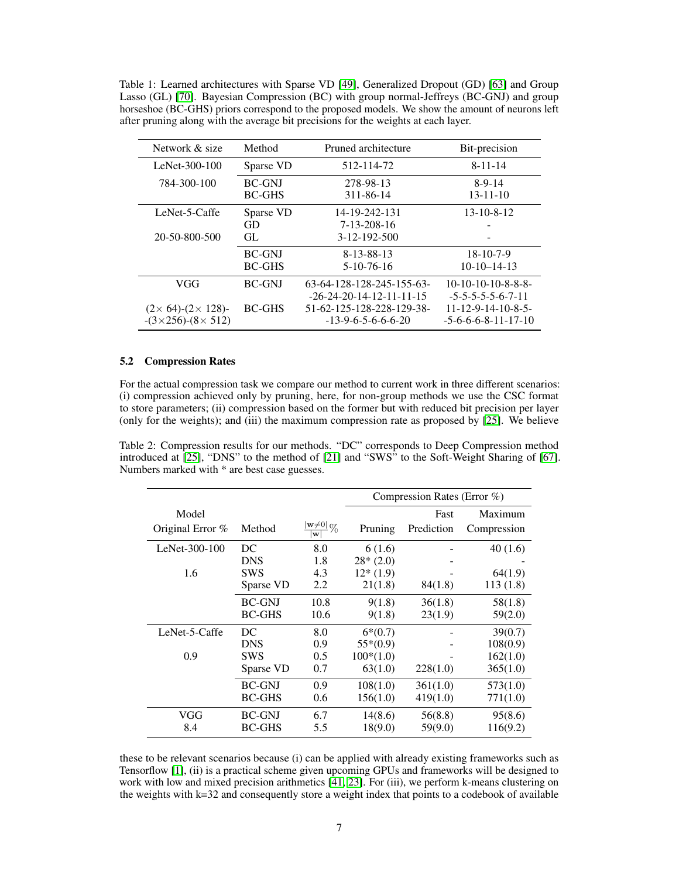Table 1: Learned architectures with Sparse VD [49], Generalized Dropout (GD) [63] and Group Lasso (GL) [70]. Bayesian Compression (BC) with group normal-Jeffreys (BC-GNJ) and group horseshoe (BC-GHS) priors correspond to the proposed models. We show the amount of neurons left after pruning along with the average bit precisions for the weights at each layer.

| Network & size                       | Method        | Pruned architecture        | Bit-precision                   |  |
|--------------------------------------|---------------|----------------------------|---------------------------------|--|
| LeNet- $300-100$                     | Sparse VD     | 512-114-72                 | $8 - 11 - 14$                   |  |
| 784-300-100                          | <b>BC-GNJ</b> | 278-98-13                  | $8-9-14$                        |  |
|                                      | <b>BC-GHS</b> | 311-86-14                  | $13 - 11 - 10$                  |  |
| LeNet-5-Caffe                        | Sparse VD     | 14-19-242-131              | $13 - 10 - 8 - 12$              |  |
|                                      | GD            | 7-13-208-16                |                                 |  |
| 20-50-800-500                        | GL            | $3 - 12 - 192 - 500$       |                                 |  |
|                                      | <b>BC-GNJ</b> | 8-13-88-13                 | $18-10-7-9$                     |  |
|                                      | <b>BC-GHS</b> | $5-10-76-16$               | $10-10-14-13$                   |  |
| VGG                                  | <b>BC-GNJ</b> | 63-64-128-128-245-155-63-  | $10-10-10-10-8-8-8-$            |  |
|                                      |               | $-26-24-20-14-12-11-11-15$ | $-5 - 5 - 5 - 5 - 6 - 7 - 11$   |  |
| $(2 \times 64)$ - $(2 \times 128)$ - | <b>BC-GHS</b> | 51-62-125-128-228-129-38-  | $11 - 12 - 9 - 14 - 10 - 8 - 5$ |  |
| $-(3\times256)-(8\times512)$         |               | $-13-9-6-5-6-6-6-20$       | $-5 - 6 - 6 - 8 - 11 - 17 - 10$ |  |

## 5.2 Compression Rates

For the actual compression task we compare our method to current work in three different scenarios: (i) compression achieved only by pruning, here, for non-group methods we use the CSC format to store parameters; (ii) compression based on the former but with reduced bit precision per layer (only for the weights); and (iii) the maximum compression rate as proposed by [25]. We believe

Table 2: Compression results for our methods. "DC" corresponds to Deep Compression method introduced at [25], "DNS" to the method of [21] and "SWS" to the Soft-Weight Sharing of [67]. Numbers marked with  $*$  are best case guesses.

|                  |               |                                      | Compression Rates (Error %) |            |             |
|------------------|---------------|--------------------------------------|-----------------------------|------------|-------------|
| Model            |               |                                      |                             | Fast       | Maximum     |
| Original Error % | Method        | $\frac{ \mathbf{w}\neq 0 }{\%}$<br>w | Pruning                     | Prediction | Compression |
| LeNet-300-100    | DC            | 8.0                                  | 6 (1.6)                     |            | 40(1.6)     |
|                  | <b>DNS</b>    | 1.8                                  | $28*(2.0)$                  |            |             |
| 1.6              | <b>SWS</b>    | 4.3                                  | $12*(1.9)$                  |            | 64(1.9)     |
|                  | Sparse VD     | 2.2                                  | 21(1.8)                     | 84(1.8)    | 113(1.8)    |
|                  | <b>BC-GNJ</b> | 10.8                                 | 9(1.8)                      | 36(1.8)    | 58(1.8)     |
|                  | <b>BC-GHS</b> | 10.6                                 | 9(1.8)                      | 23(1.9)    | 59(2.0)     |
| LeNet-5-Caffe    | DC            | 8.0                                  | $6*(0.7)$                   |            | 39(0.7)     |
|                  | <b>DNS</b>    | 0.9                                  | $55*(0.9)$                  |            | 108(0.9)    |
| 0.9              | <b>SWS</b>    | 0.5                                  | $100*(1.0)$                 |            | 162(1.0)    |
|                  | Sparse VD     | 0.7                                  | 63(1.0)                     | 228(1.0)   | 365(1.0)    |
|                  | <b>BC-GNJ</b> | 0.9                                  | 108(1.0)                    | 361(1.0)   | 573(1.0)    |
|                  | <b>BC-GHS</b> | 0.6                                  | 156(1.0)                    | 419(1.0)   | 771(1.0)    |
| VGG              | <b>BC-GNJ</b> | 6.7                                  | 14(8.6)                     | 56(8.8)    | 95(8.6)     |
| 8.4              | <b>BC-GHS</b> | 5.5                                  | 18(9.0)                     | 59(9.0)    | 116(9.2)    |

these to be relevant scenarios because (i) can be applied with already existing frameworks such as Tensorflow [1], (ii) is a practical scheme given upcoming GPUs and frameworks will be designed to work with low and mixed precision arithmetics [41, 23]. For (iii), we perform k-means clustering on the weights with k=32 and consequently store a weight index that points to a codebook of available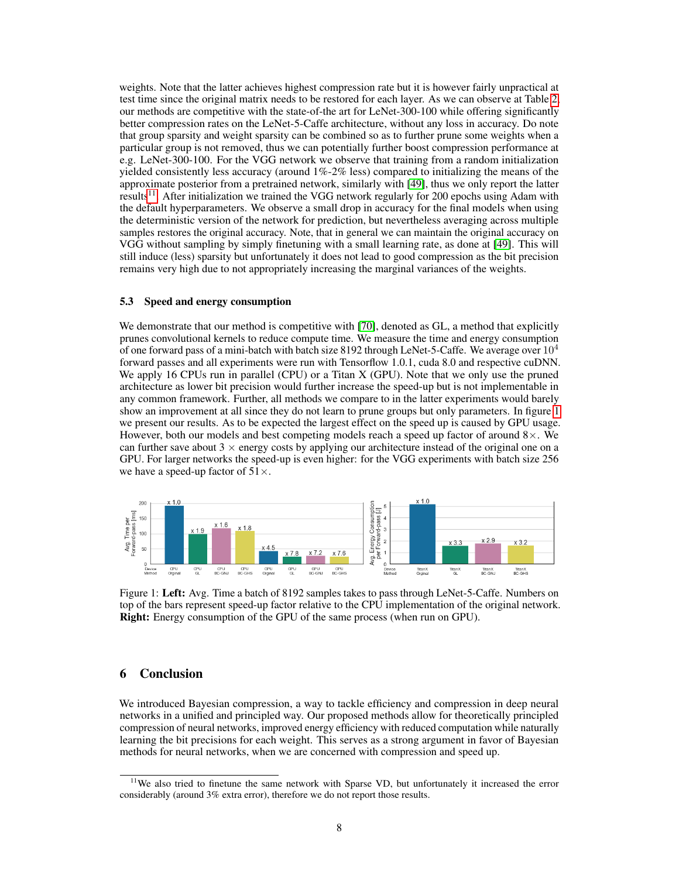weights. Note that the latter achieves highest compression rate but it is however fairly unpractical at test time since the original matrix needs to be restored for each layer. As we can observe at Table 2, our methods are competitive with the state-of-the art for LeNet-300-100 while offering significantly better compression rates on the LeNet-5-Caffe architecture, without any loss in accuracy. Do note that group sparsity and weight sparsity can be combined so as to further prune some weights when a particular group is not removed, thus we can potentially further boost compression performance at e.g. LeNet-300-100. For the VGG network we observe that training from a random initialization yielded consistently less accuracy (around 1%-2% less) compared to initializing the means of the approximate posterior from a pretrained network, similarly with [49], thus we only report the latter results<sup>11</sup>. After initialization we trained the VGG network regularly for 200 epochs using Adam with the default hyperparameters. We observe a small drop in accuracy for the final models when using the deterministic version of the network for prediction, but nevertheless averaging across multiple samples restores the original accuracy. Note, that in general we can maintain the original accuracy on VGG without sampling by simply finetuning with a small learning rate, as done at [49]. This will still induce (less) sparsity but unfortunately it does not lead to good compression as the bit precision remains very high due to not appropriately increasing the marginal variances of the weights.

### 5.3 Speed and energy consumption

We demonstrate that our method is competitive with [70], denoted as GL, a method that explicitly prunes convolutional kernels to reduce compute time. We measure the time and energy consumption of one forward pass of a mini-batch with batch size 8192 through LeNet-5-Caffe. We average over  $10^4$ forward passes and all experiments were run with Tensorflow 1.0.1, cuda 8.0 and respective cuDNN. We apply 16 CPUs run in parallel (CPU) or a Titan X (GPU). Note that we only use the pruned architecture as lower bit precision would further increase the speed-up but is not implementable in any common framework. Further, all methods we compare to in the latter experiments would barely show an improvement at all since they do not learn to prune groups but only parameters. In figure 1 we present our results. As to be expected the largest effect on the speed up is caused by GPU usage. However, both our models and best competing models reach a speed up factor of around  $8\times$ . We can further save about  $3 \times$  energy costs by applying our architecture instead of the original one on a GPU. For larger networks the speed-up is even higher: for the VGG experiments with batch size 256 we have a speed-up factor of  $51\times$ .



Figure 1: Left: Avg. Time a batch of 8192 samples takes to pass through LeNet-5-Caffe. Numbers on top of the bars represent speed-up factor relative to the CPU implementation of the original network. Right: Energy consumption of the GPU of the same process (when run on GPU).

# 6 Conclusion

We introduced Bayesian compression, a way to tackle efficiency and compression in deep neural networks in a unified and principled way. Our proposed methods allow for theoretically principled compression of neural networks, improved energy efficiency with reduced computation while naturally learning the bit precisions for each weight. This serves as a strong argument in favor of Bayesian methods for neural networks, when we are concerned with compression and speed up.

<sup>&</sup>lt;sup>11</sup>We also tried to finetune the same network with Sparse VD, but unfortunately it increased the error considerably (around 3% extra error), therefore we do not report those results.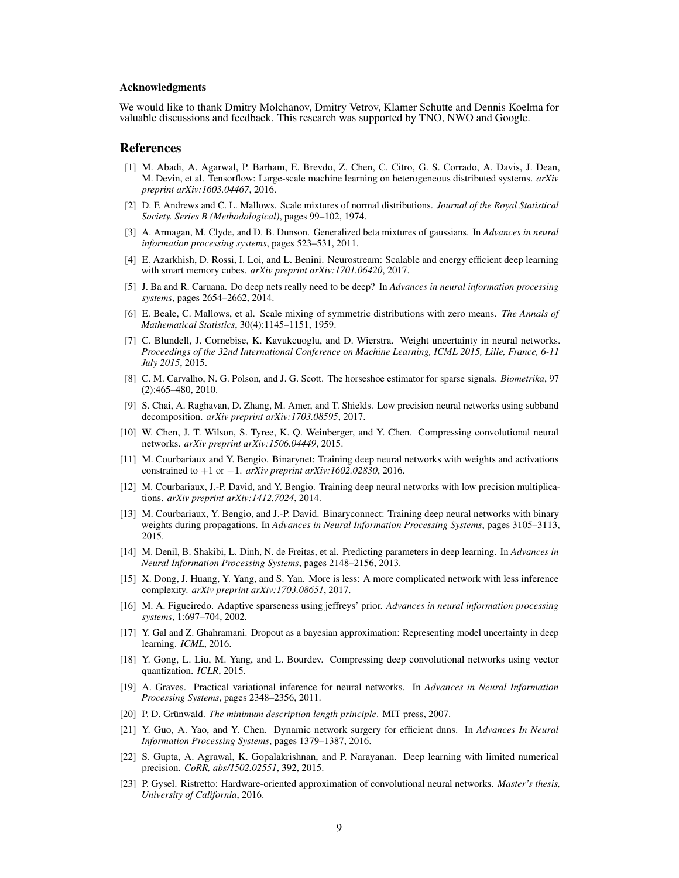#### Acknowledgments

We would like to thank Dmitry Molchanov, Dmitry Vetrov, Klamer Schutte and Dennis Koelma for valuable discussions and feedback. This research was supported by TNO, NWO and Google.

#### References

- [1] M. Abadi, A. Agarwal, P. Barham, E. Brevdo, Z. Chen, C. Citro, G. S. Corrado, A. Davis, J. Dean, M. Devin, et al. Tensorflow: Large-scale machine learning on heterogeneous distributed systems. *arXiv preprint arXiv:1603.04467*, 2016.
- [2] D. F. Andrews and C. L. Mallows. Scale mixtures of normal distributions. *Journal of the Royal Statistical Society. Series B (Methodological)*, pages 99–102, 1974.
- [3] A. Armagan, M. Clyde, and D. B. Dunson. Generalized beta mixtures of gaussians. In *Advances in neural information processing systems*, pages 523–531, 2011.
- [4] E. Azarkhish, D. Rossi, I. Loi, and L. Benini. Neurostream: Scalable and energy efficient deep learning with smart memory cubes. *arXiv preprint arXiv:1701.06420*, 2017.
- [5] J. Ba and R. Caruana. Do deep nets really need to be deep? In *Advances in neural information processing systems*, pages 2654–2662, 2014.
- [6] E. Beale, C. Mallows, et al. Scale mixing of symmetric distributions with zero means. *The Annals of Mathematical Statistics*, 30(4):1145–1151, 1959.
- [7] C. Blundell, J. Cornebise, K. Kavukcuoglu, and D. Wierstra. Weight uncertainty in neural networks. *Proceedings of the 32nd International Conference on Machine Learning, ICML 2015, Lille, France, 6-11 July 2015*, 2015.
- [8] C. M. Carvalho, N. G. Polson, and J. G. Scott. The horseshoe estimator for sparse signals. *Biometrika*, 97 (2):465–480, 2010.
- [9] S. Chai, A. Raghavan, D. Zhang, M. Amer, and T. Shields. Low precision neural networks using subband decomposition. *arXiv preprint arXiv:1703.08595*, 2017.
- [10] W. Chen, J. T. Wilson, S. Tyree, K. Q. Weinberger, and Y. Chen. Compressing convolutional neural networks. *arXiv preprint arXiv:1506.04449*, 2015.
- [11] M. Courbariaux and Y. Bengio. Binarynet: Training deep neural networks with weights and activations constrained to +1 or −1. *arXiv preprint arXiv:1602.02830*, 2016.
- [12] M. Courbariaux, J.-P. David, and Y. Bengio. Training deep neural networks with low precision multiplications. *arXiv preprint arXiv:1412.7024*, 2014.
- [13] M. Courbariaux, Y. Bengio, and J.-P. David. Binaryconnect: Training deep neural networks with binary weights during propagations. In *Advances in Neural Information Processing Systems*, pages 3105–3113, 2015.
- [14] M. Denil, B. Shakibi, L. Dinh, N. de Freitas, et al. Predicting parameters in deep learning. In *Advances in Neural Information Processing Systems*, pages 2148–2156, 2013.
- [15] X. Dong, J. Huang, Y. Yang, and S. Yan. More is less: A more complicated network with less inference complexity. *arXiv preprint arXiv:1703.08651*, 2017.
- [16] M. A. Figueiredo. Adaptive sparseness using jeffreys' prior. *Advances in neural information processing systems*, 1:697–704, 2002.
- [17] Y. Gal and Z. Ghahramani. Dropout as a bayesian approximation: Representing model uncertainty in deep learning. *ICML*, 2016.
- [18] Y. Gong, L. Liu, M. Yang, and L. Bourdev. Compressing deep convolutional networks using vector quantization. *ICLR*, 2015.
- [19] A. Graves. Practical variational inference for neural networks. In *Advances in Neural Information Processing Systems*, pages 2348–2356, 2011.
- [20] P. D. Grünwald. *The minimum description length principle*. MIT press, 2007.
- [21] Y. Guo, A. Yao, and Y. Chen. Dynamic network surgery for efficient dnns. In *Advances In Neural Information Processing Systems*, pages 1379–1387, 2016.
- [22] S. Gupta, A. Agrawal, K. Gopalakrishnan, and P. Narayanan. Deep learning with limited numerical precision. *CoRR, abs/1502.02551*, 392, 2015.
- [23] P. Gysel. Ristretto: Hardware-oriented approximation of convolutional neural networks. *Master's thesis, University of California*, 2016.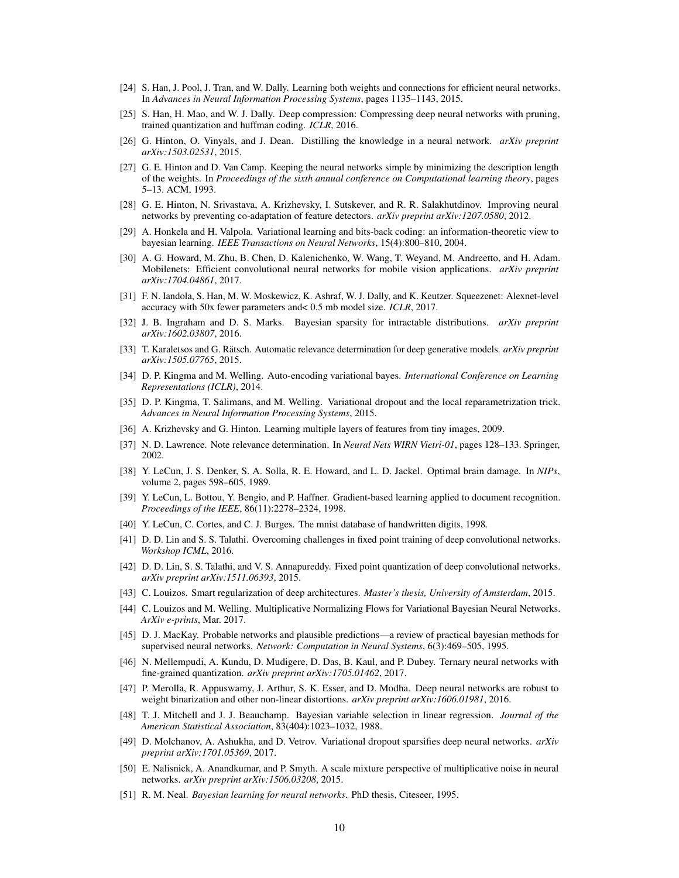- [24] S. Han, J. Pool, J. Tran, and W. Dally. Learning both weights and connections for efficient neural networks. In *Advances in Neural Information Processing Systems*, pages 1135–1143, 2015.
- [25] S. Han, H. Mao, and W. J. Dally. Deep compression: Compressing deep neural networks with pruning, trained quantization and huffman coding. *ICLR*, 2016.
- [26] G. Hinton, O. Vinyals, and J. Dean. Distilling the knowledge in a neural network. *arXiv preprint arXiv:1503.02531*, 2015.
- [27] G. E. Hinton and D. Van Camp. Keeping the neural networks simple by minimizing the description length of the weights. In *Proceedings of the sixth annual conference on Computational learning theory*, pages 5–13. ACM, 1993.
- [28] G. E. Hinton, N. Srivastava, A. Krizhevsky, I. Sutskever, and R. R. Salakhutdinov. Improving neural networks by preventing co-adaptation of feature detectors. *arXiv preprint arXiv:1207.0580*, 2012.
- [29] A. Honkela and H. Valpola. Variational learning and bits-back coding: an information-theoretic view to bayesian learning. *IEEE Transactions on Neural Networks*, 15(4):800–810, 2004.
- [30] A. G. Howard, M. Zhu, B. Chen, D. Kalenichenko, W. Wang, T. Weyand, M. Andreetto, and H. Adam. Mobilenets: Efficient convolutional neural networks for mobile vision applications. *arXiv preprint arXiv:1704.04861*, 2017.
- [31] F. N. Iandola, S. Han, M. W. Moskewicz, K. Ashraf, W. J. Dally, and K. Keutzer. Squeezenet: Alexnet-level accuracy with 50x fewer parameters and< 0.5 mb model size. *ICLR*, 2017.
- [32] J. B. Ingraham and D. S. Marks. Bayesian sparsity for intractable distributions. *arXiv preprint arXiv:1602.03807*, 2016.
- [33] T. Karaletsos and G. Rätsch. Automatic relevance determination for deep generative models. *arXiv preprint arXiv:1505.07765*, 2015.
- [34] D. P. Kingma and M. Welling. Auto-encoding variational bayes. *International Conference on Learning Representations (ICLR)*, 2014.
- [35] D. P. Kingma, T. Salimans, and M. Welling. Variational dropout and the local reparametrization trick. *Advances in Neural Information Processing Systems*, 2015.
- [36] A. Krizhevsky and G. Hinton. Learning multiple layers of features from tiny images, 2009.
- [37] N. D. Lawrence. Note relevance determination. In *Neural Nets WIRN Vietri-01*, pages 128–133. Springer, 2002.
- [38] Y. LeCun, J. S. Denker, S. A. Solla, R. E. Howard, and L. D. Jackel. Optimal brain damage. In *NIPs*, volume 2, pages 598–605, 1989.
- [39] Y. LeCun, L. Bottou, Y. Bengio, and P. Haffner. Gradient-based learning applied to document recognition. *Proceedings of the IEEE*, 86(11):2278–2324, 1998.
- [40] Y. LeCun, C. Cortes, and C. J. Burges. The mnist database of handwritten digits, 1998.
- [41] D. D. Lin and S. S. Talathi. Overcoming challenges in fixed point training of deep convolutional networks. *Workshop ICML*, 2016.
- [42] D. D. Lin, S. S. Talathi, and V. S. Annapureddy. Fixed point quantization of deep convolutional networks. *arXiv preprint arXiv:1511.06393*, 2015.
- [43] C. Louizos. Smart regularization of deep architectures. *Master's thesis, University of Amsterdam*, 2015.
- [44] C. Louizos and M. Welling. Multiplicative Normalizing Flows for Variational Bayesian Neural Networks. *ArXiv e-prints*, Mar. 2017.
- [45] D. J. MacKay. Probable networks and plausible predictions—a review of practical bayesian methods for supervised neural networks. *Network: Computation in Neural Systems*, 6(3):469–505, 1995.
- [46] N. Mellempudi, A. Kundu, D. Mudigere, D. Das, B. Kaul, and P. Dubey. Ternary neural networks with fine-grained quantization. *arXiv preprint arXiv:1705.01462*, 2017.
- [47] P. Merolla, R. Appuswamy, J. Arthur, S. K. Esser, and D. Modha. Deep neural networks are robust to weight binarization and other non-linear distortions. *arXiv preprint arXiv:1606.01981*, 2016.
- [48] T. J. Mitchell and J. J. Beauchamp. Bayesian variable selection in linear regression. *Journal of the American Statistical Association*, 83(404):1023–1032, 1988.
- [49] D. Molchanov, A. Ashukha, and D. Vetrov. Variational dropout sparsifies deep neural networks. *arXiv preprint arXiv:1701.05369*, 2017.
- [50] E. Nalisnick, A. Anandkumar, and P. Smyth. A scale mixture perspective of multiplicative noise in neural networks. *arXiv preprint arXiv:1506.03208*, 2015.
- [51] R. M. Neal. *Bayesian learning for neural networks*. PhD thesis, Citeseer, 1995.